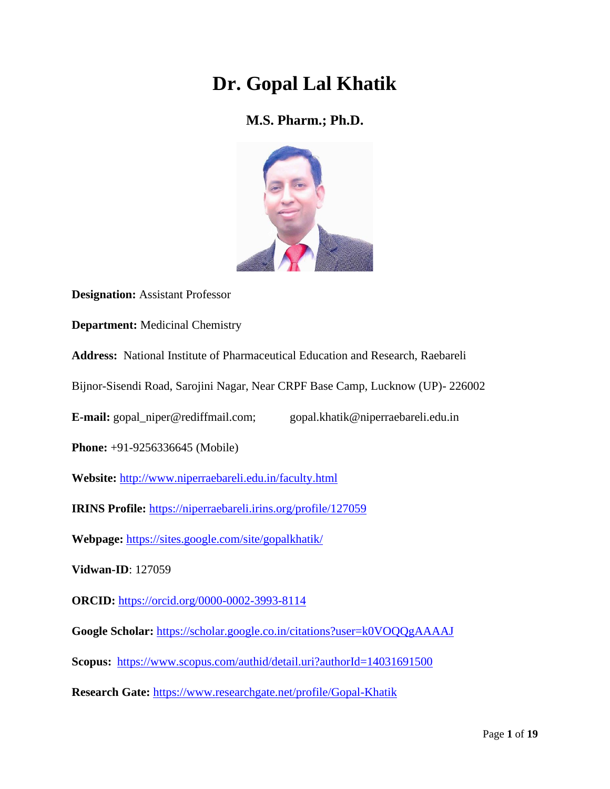# **Dr. Gopal Lal Khatik**

## **M.S. Pharm.; Ph.D.**



**Designation:** Assistant Professor

**Department:** Medicinal Chemistry

**Address:** National Institute of Pharmaceutical Education and Research, Raebareli

Bijnor-Sisendi Road, Sarojini Nagar, Near CRPF Base Camp, Lucknow (UP)- 226002

**E-mail:** gopal\_niper@rediffmail.com; gopal.khatik@niperraebareli.edu.in

**Phone:** +91-9256336645 (Mobile)

**Website:** <http://www.niperraebareli.edu.in/faculty.html>

**IRINS Profile:** <https://niperraebareli.irins.org/profile/127059>

**Webpage:** <https://sites.google.com/site/gopalkhatik/>

**Vidwan-ID**: 127059

**ORCID:** <https://orcid.org/0000-0002-3993-8114>

**Google Scholar:** <https://scholar.google.co.in/citations?user=k0VOQQgAAAAJ>

**Scopus:** <https://www.scopus.com/authid/detail.uri?authorId=14031691500>

**Research Gate:** <https://www.researchgate.net/profile/Gopal-Khatik>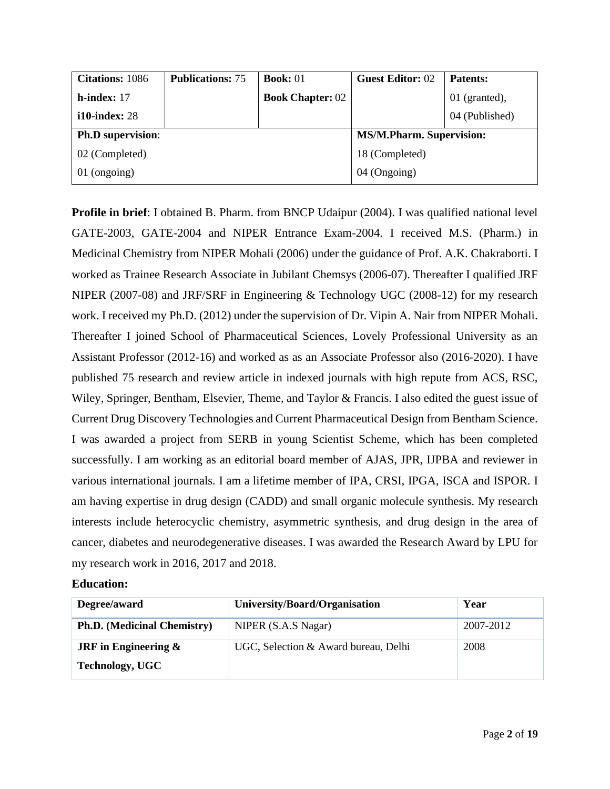| <b>Citations:</b> 1086                                      | <b>Publications: 75</b> | <b>Book:</b> $01$       | <b>Guest Editor: 02</b> | <b>Patents:</b> |
|-------------------------------------------------------------|-------------------------|-------------------------|-------------------------|-----------------|
| $h$ -index: 17                                              |                         | <b>Book Chapter: 02</b> |                         | $01$ (granted), |
| $i10$ -index: 28                                            |                         |                         |                         | 04 (Published)  |
| <b>Ph.D</b> supervision:<br><b>MS/M.Pharm. Supervision:</b> |                         |                         |                         |                 |
| 02 (Completed)                                              | 18 (Completed)          |                         |                         |                 |
| 01 (ongoing)                                                |                         |                         | 04 (Ongoing)            |                 |

**Profile in brief**: I obtained B. Pharm. from BNCP Udaipur (2004). I was qualified national level GATE-2003, GATE-2004 and NIPER Entrance Exam-2004. I received M.S. (Pharm.) in Medicinal Chemistry from NIPER Mohali (2006) under the guidance of Prof. A.K. Chakraborti. I worked as Trainee Research Associate in Jubilant Chemsys (2006-07). Thereafter I qualified JRF NIPER (2007-08) and JRF/SRF in Engineering & Technology UGC (2008-12) for my research work. I received my Ph.D. (2012) under the supervision of Dr. Vipin A. Nair from NIPER Mohali. Thereafter I joined School of Pharmaceutical Sciences, Lovely Professional University as an Assistant Professor (2012-16) and worked as as an Associate Professor also (2016-2020). I have published 75 research and review article in indexed journals with high repute from ACS, RSC, Wiley, Springer, Bentham, Elsevier, Theme, and Taylor & Francis. I also edited the guest issue of Current Drug Discovery Technologies and Current Pharmaceutical Design from Bentham Science. I was awarded a project from SERB in young Scientist Scheme, which has been completed successfully. I am working as an editorial board member of AJAS, JPR, IJPBA and reviewer in various international journals. I am a lifetime member of IPA, CRSI, IPGA, ISCA and ISPOR. I am having expertise in drug design (CADD) and small organic molecule synthesis. My research interests include heterocyclic chemistry, asymmetric synthesis, and drug design in the area of cancer, diabetes and neurodegenerative diseases. I was awarded the Research Award by LPU for my research work in 2016, 2017 and 2018.

#### **Education:**

| Degree/award                       | University/Board/Organisation        | Year      |
|------------------------------------|--------------------------------------|-----------|
| <b>Ph.D.</b> (Medicinal Chemistry) | NIPER (S.A.S Nagar)                  | 2007-2012 |
| <b>JRF</b> in Engineering $\&$     | UGC, Selection & Award bureau, Delhi | 2008      |
| <b>Technology, UGC</b>             |                                      |           |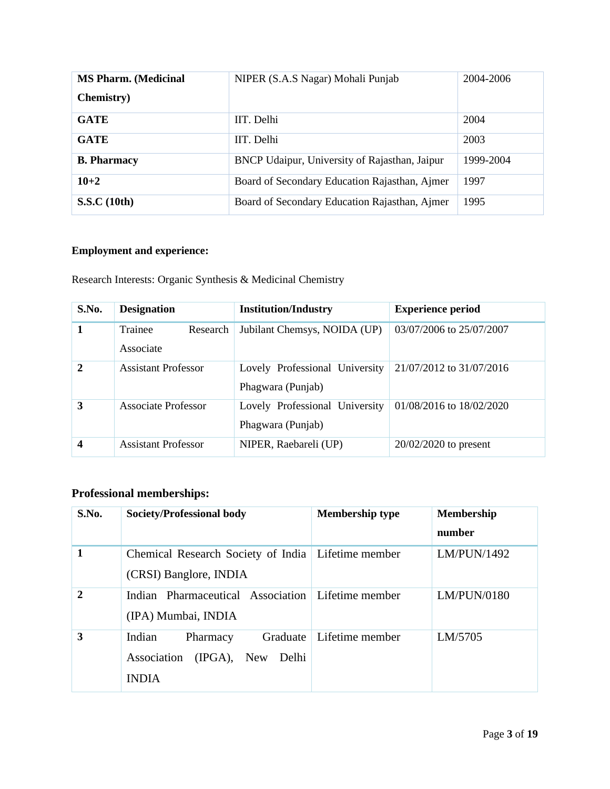| <b>MS Pharm. (Medicinal</b> | NIPER (S.A.S Nagar) Mohali Punjab             | 2004-2006 |
|-----------------------------|-----------------------------------------------|-----------|
| <b>Chemistry</b> )          |                                               |           |
| <b>GATE</b>                 | IIT. Delhi                                    | 2004      |
| <b>GATE</b>                 | IIT. Delhi                                    | 2003      |
| <b>B.</b> Pharmacy          | BNCP Udaipur, University of Rajasthan, Jaipur | 1999-2004 |
| $10 + 2$                    | Board of Secondary Education Rajasthan, Ajmer | 1997      |
| <b>S.S.C</b> (10th)         | Board of Secondary Education Rajasthan, Ajmer | 1995      |

### **Employment and experience:**

Research Interests: Organic Synthesis & Medicinal Chemistry

| S.No.        | <b>Designation</b>               | <b>Institution/Industry</b>                         | <b>Experience period</b> |
|--------------|----------------------------------|-----------------------------------------------------|--------------------------|
| 1            | Trainee<br>Research<br>Associate | Jubilant Chemsys, NOIDA (UP)                        | 03/07/2006 to 25/07/2007 |
| $\mathbf{2}$ | <b>Assistant Professor</b>       | Lovely Professional University<br>Phagwara (Punjab) | 21/07/2012 to 31/07/2016 |
| 3            | Associate Professor              | Lovely Professional University<br>Phagwara (Punjab) | 01/08/2016 to 18/02/2020 |
| 4            | <b>Assistant Professor</b>       | NIPER, Raebareli (UP)                               | $20/02/2020$ to present  |

## **Professional memberships:**

| S.No.        | Society/Professional body                                                                | <b>Membership type</b> | <b>Membership</b><br>number |
|--------------|------------------------------------------------------------------------------------------|------------------------|-----------------------------|
| 1            | Chemical Research Society of India   Lifetime member<br>(CRSI) Banglore, INDIA           |                        | LM/PUN/1492                 |
| $\mathbf{2}$ | Indian Pharmaceutical Association   Lifetime member<br>(IPA) Mumbai, INDIA               |                        | LM/PUN/0180                 |
| 3            | Graduate<br>Indian<br>Pharmacy<br>$(IPGA)$ , New<br>Association<br>Delhi<br><b>INDIA</b> | Lifetime member        | LM/5705                     |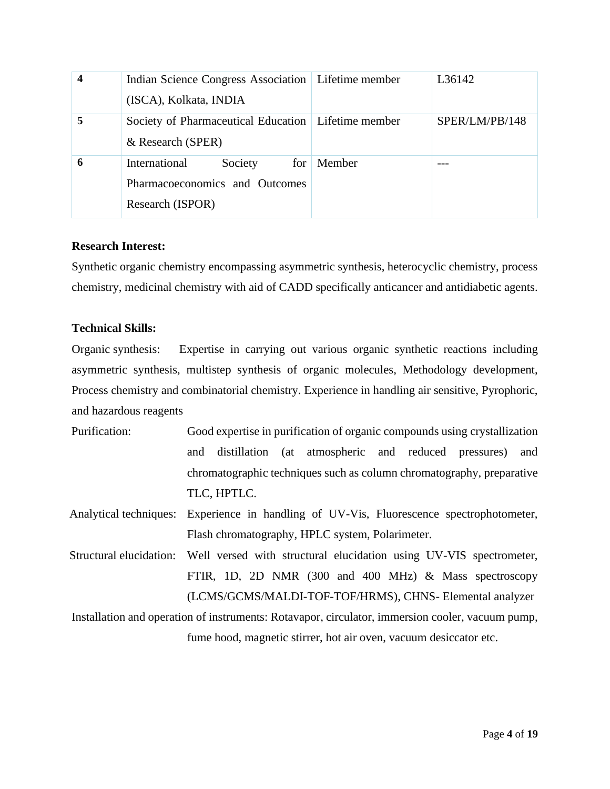|   | Indian Science Congress Association   Lifetime member |        | L36142         |
|---|-------------------------------------------------------|--------|----------------|
|   | (ISCA), Kolkata, INDIA                                |        |                |
| 5 | Society of Pharmaceutical Education   Lifetime member |        | SPER/LM/PB/148 |
|   | & Research (SPER)                                     |        |                |
| 6 | International<br>Society<br>for                       | Member |                |
|   | Pharmacoeconomics and Outcomes                        |        |                |
|   | Research (ISPOR)                                      |        |                |

#### **Research Interest:**

Synthetic organic chemistry encompassing asymmetric synthesis, heterocyclic chemistry, process chemistry, medicinal chemistry with aid of CADD specifically anticancer and antidiabetic agents.

#### **Technical Skills:**

Organic synthesis: Expertise in carrying out various organic synthetic reactions including asymmetric synthesis, multistep synthesis of organic molecules, Methodology development, Process chemistry and combinatorial chemistry. Experience in handling air sensitive, Pyrophoric, and hazardous reagents

- Purification: Good expertise in purification of organic compounds using crystallization and distillation (at atmospheric and reduced pressures) and chromatographic techniques such as column chromatography, preparative TLC, HPTLC.
- Analytical techniques: Experience in handling of UV-Vis, Fluorescence spectrophotometer, Flash chromatography, HPLC system, Polarimeter.
- Structural elucidation: Well versed with structural elucidation using UV-VIS spectrometer, FTIR, 1D, 2D NMR (300 and 400 MHz) & Mass spectroscopy (LCMS/GCMS/MALDI-TOF-TOF/HRMS), CHNS- Elemental analyzer

Installation and operation of instruments: Rotavapor, circulator, immersion cooler, vacuum pump, fume hood, magnetic stirrer, hot air oven, vacuum desiccator etc.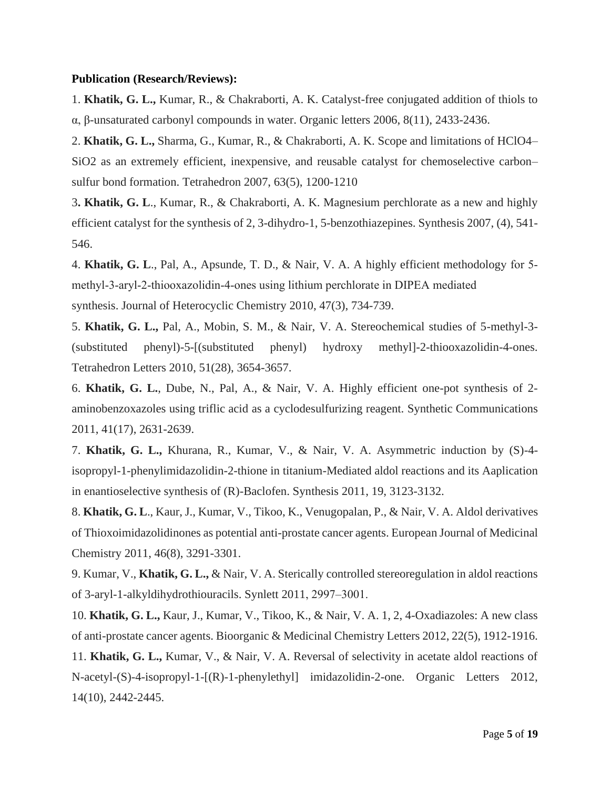#### **Publication (Research/Reviews):**

1. **Khatik, G. L.,** Kumar, R., & Chakraborti, A. K. Catalyst-free conjugated addition of thiols to α, β-unsaturated carbonyl compounds in water. Organic letters 2006, 8(11), 2433-2436.

2. **Khatik, G. L.,** Sharma, G., Kumar, R., & Chakraborti, A. K. Scope and limitations of HClO4– SiO2 as an extremely efficient, inexpensive, and reusable catalyst for chemoselective carbon– sulfur bond formation. Tetrahedron 2007, 63(5), 1200-1210

3**. Khatik, G. L**., Kumar, R., & Chakraborti, A. K. Magnesium perchlorate as a new and highly efficient catalyst for the synthesis of 2, 3-dihydro-1, 5-benzothiazepines. Synthesis 2007, (4), 541- 546.

4. **Khatik, G. L**., Pal, A., Apsunde, T. D., & Nair, V. A. A highly efficient methodology for 5‐ methyl‐3‐aryl‐2‐thiooxazolidin‐4‐ones using lithium perchlorate in DIPEA mediated synthesis. Journal of Heterocyclic Chemistry 2010, 47(3), 734-739.

5. **Khatik, G. L.,** Pal, A., Mobin, S. M., & Nair, V. A. Stereochemical studies of 5-methyl-3- (substituted phenyl)-5-[(substituted phenyl) hydroxy methyl]-2-thiooxazolidin-4-ones. Tetrahedron Letters 2010, 51(28), 3654-3657.

6. **Khatik, G. L.**, Dube, N., Pal, A., & Nair, V. A. Highly efficient one-pot synthesis of 2 aminobenzoxazoles using triflic acid as a cyclodesulfurizing reagent. Synthetic Communications 2011, 41(17), 2631-2639.

7. **Khatik, G. L.,** Khurana, R., Kumar, V., & Nair, V. A. Asymmetric induction by (S)-4 isopropyl-1-phenylimidazolidin-2-thione in titanium-Mediated aldol reactions and its Aaplication in enantioselective synthesis of (R)-Baclofen. Synthesis 2011, 19, 3123-3132.

8. **Khatik, G. L**., Kaur, J., Kumar, V., Tikoo, K., Venugopalan, P., & Nair, V. A. Aldol derivatives of Thioxoimidazolidinones as potential anti-prostate cancer agents. European Journal of Medicinal Chemistry 2011, 46(8), 3291-3301.

9. Kumar, V., **Khatik, G. L.,** & Nair, V. A. Sterically controlled stereoregulation in aldol reactions of 3-aryl-1-alkyldihydrothiouracils. Synlett 2011, 2997–3001.

10. **Khatik, G. L.,** Kaur, J., Kumar, V., Tikoo, K., & Nair, V. A. 1, 2, 4-Oxadiazoles: A new class of anti-prostate cancer agents. Bioorganic & Medicinal Chemistry Letters 2012, 22(5), 1912-1916.

11. **Khatik, G. L.,** Kumar, V., & Nair, V. A. Reversal of selectivity in acetate aldol reactions of N-acetyl-(S)-4-isopropyl-1-[(R)-1-phenylethyl] imidazolidin-2-one. Organic Letters 2012, 14(10), 2442-2445.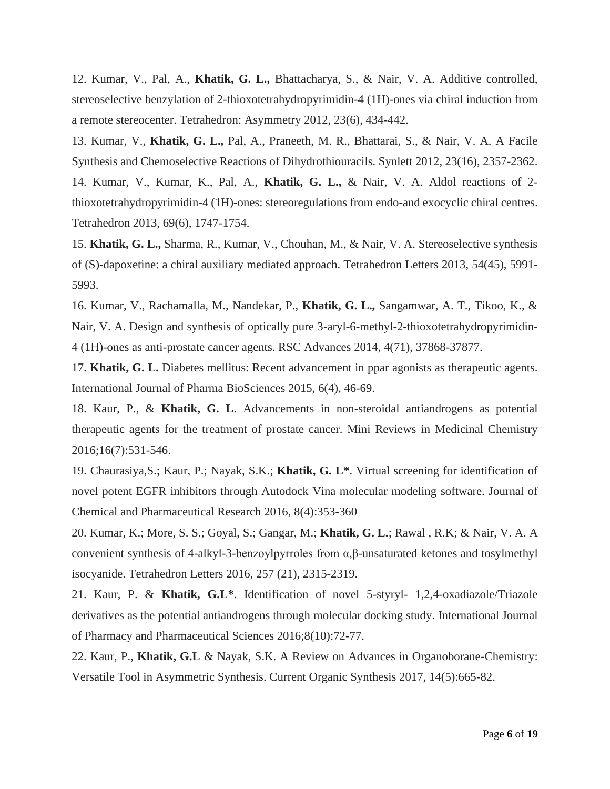12. Kumar, V., Pal, A., **Khatik, G. L.,** Bhattacharya, S., & Nair, V. A. Additive controlled, stereoselective benzylation of 2-thioxotetrahydropyrimidin-4 (1H)-ones via chiral induction from a remote stereocenter. Tetrahedron: Asymmetry 2012, 23(6), 434-442.

13. Kumar, V., **Khatik, G. L.,** Pal, A., Praneeth, M. R., Bhattarai, S., & Nair, V. A. A Facile Synthesis and Chemoselective Reactions of Dihydrothiouracils. Synlett 2012, 23(16), 2357-2362. 14. Kumar, V., Kumar, K., Pal, A., **Khatik, G. L.,** & Nair, V. A. Aldol reactions of 2 thioxotetrahydropyrimidin-4 (1H)-ones: stereoregulations from endo-and exocyclic chiral centres. Tetrahedron 2013, 69(6), 1747-1754.

15. **Khatik, G. L.,** Sharma, R., Kumar, V., Chouhan, M., & Nair, V. A. Stereoselective synthesis of (S)-dapoxetine: a chiral auxiliary mediated approach. Tetrahedron Letters 2013, 54(45), 5991- 5993.

16. Kumar, V., Rachamalla, M., Nandekar, P., **Khatik, G. L.,** Sangamwar, A. T., Tikoo, K., & Nair, V. A. Design and synthesis of optically pure 3-aryl-6-methyl-2-thioxotetrahydropyrimidin-4 (1H)-ones as anti-prostate cancer agents. RSC Advances 2014, 4(71), 37868-37877.

17. **Khatik, G. L.** Diabetes mellitus: Recent advancement in ppar agonists as therapeutic agents. International Journal of Pharma BioSciences 2015, 6(4), 46-69.

18. Kaur, P., & **Khatik, G. L**. Advancements in non-steroidal antiandrogens as potential therapeutic agents for the treatment of prostate cancer. Mini Reviews in Medicinal Chemistry 2016;16(7):531-546.

19. Chaurasiya,S.; Kaur, P.; Nayak, S.K.; **Khatik, G. L\***. Virtual screening for identification of novel potent EGFR inhibitors through Autodock Vina molecular modeling software. Journal of Chemical and Pharmaceutical Research 2016, 8(4):353-360

20. Kumar, K.; More, S. S.; Goyal, S.; Gangar, M.; **Khatik, G. L.**; Rawal , R.K; & Nair, V. A. A convenient synthesis of 4-alkyl-3-benzoylpyrroles from α,β-unsaturated ketones and tosylmethyl isocyanide. Tetrahedron Letters 2016, 257 (21), 2315-2319.

21. Kaur, P. & **Khatik, G.L\***. Identification of novel 5-styryl- 1,2,4-oxadiazole/Triazole derivatives as the potential antiandrogens through molecular docking study. International Journal of Pharmacy and Pharmaceutical Sciences 2016;8(10):72-77.

22. Kaur, P., **Khatik, G.L** & Nayak, S.K. A Review on Advances in Organoborane-Chemistry: Versatile Tool in Asymmetric Synthesis. Current Organic Synthesis 2017, 14(5):665-82.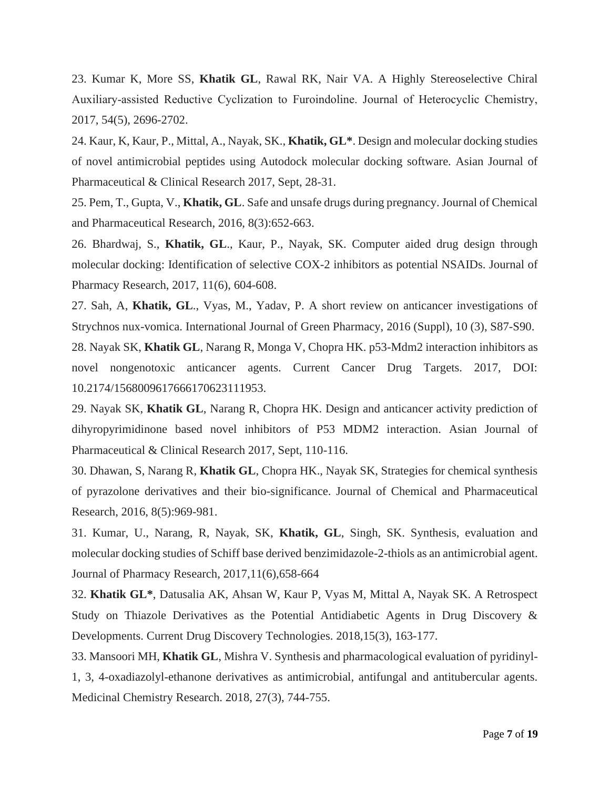23. Kumar K, More SS, **Khatik GL**, Rawal RK, Nair VA. A Highly Stereoselective Chiral Auxiliary‐assisted Reductive Cyclization to Furoindoline. Journal of Heterocyclic Chemistry, 2017, 54(5), 2696-2702.

24. Kaur, K, Kaur, P., Mittal, A., Nayak, SK., **Khatik, GL\***. Design and molecular docking studies of novel antimicrobial peptides using Autodock molecular docking software. Asian Journal of Pharmaceutical & Clinical Research 2017, Sept, 28-31.

25. Pem, T., Gupta, V., **Khatik, GL**. Safe and unsafe drugs during pregnancy. Journal of Chemical and Pharmaceutical Research, 2016, 8(3):652-663.

26. Bhardwaj, S., **Khatik, GL**., Kaur, P., Nayak, SK. Computer aided drug design through molecular docking: Identification of selective COX-2 inhibitors as potential NSAIDs. Journal of Pharmacy Research, 2017, 11(6), 604-608.

27. Sah, A, **Khatik, GL**., Vyas, M., Yadav, P. A short review on anticancer investigations of Strychnos nux-vomica. International Journal of Green Pharmacy, 2016 (Suppl), 10 (3), S87-S90.

28. Nayak SK, **Khatik GL**, Narang R, Monga V, Chopra HK. p53-Mdm2 interaction inhibitors as novel nongenotoxic anticancer agents. Current Cancer Drug Targets. 2017, DOI: 10.2174/1568009617666170623111953.

29. Nayak SK, **Khatik GL**, Narang R, Chopra HK. Design and anticancer activity prediction of dihyropyrimidinone based novel inhibitors of P53 MDM2 interaction. Asian Journal of Pharmaceutical & Clinical Research 2017, Sept, 110-116.

30. Dhawan, S, Narang R, **Khatik GL**, Chopra HK., Nayak SK, Strategies for chemical synthesis of pyrazolone derivatives and their bio-significance. Journal of Chemical and Pharmaceutical Research, 2016, 8(5):969-981.

31. Kumar, U., Narang, R, Nayak, SK, **Khatik, GL**, Singh, SK. Synthesis, evaluation and molecular docking studies of Schiff base derived benzimidazole-2-thiols as an antimicrobial agent. Journal of Pharmacy Research, 2017,11(6),658-664

32. **Khatik GL\***, Datusalia AK, Ahsan W, Kaur P, Vyas M, Mittal A, Nayak SK. A Retrospect Study on Thiazole Derivatives as the Potential Antidiabetic Agents in Drug Discovery & Developments. Current Drug Discovery Technologies. 2018,15(3), 163-177.

33. Mansoori MH, **Khatik GL**, Mishra V. Synthesis and pharmacological evaluation of pyridinyl-1, 3, 4-oxadiazolyl-ethanone derivatives as antimicrobial, antifungal and antitubercular agents. Medicinal Chemistry Research. 2018, 27(3), 744-755.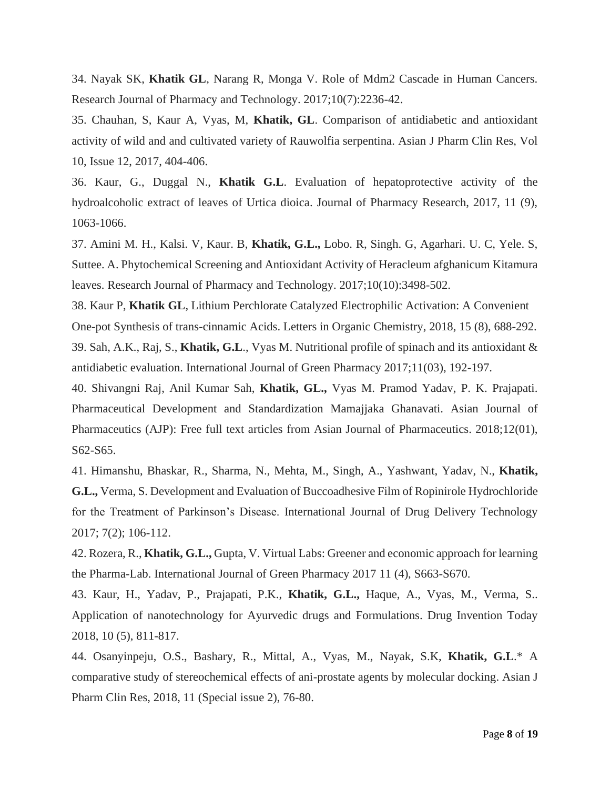34. Nayak SK, **Khatik GL**, Narang R, Monga V. Role of Mdm2 Cascade in Human Cancers. Research Journal of Pharmacy and Technology. 2017;10(7):2236-42.

35. Chauhan, S, Kaur A, Vyas, M, **Khatik, GL**. Comparison of antidiabetic and antioxidant activity of wild and and cultivated variety of Rauwolfia serpentina. Asian J Pharm Clin Res, Vol 10, Issue 12, 2017, 404-406.

36. Kaur, G., Duggal N., **Khatik G.L**. Evaluation of hepatoprotective activity of the hydroalcoholic extract of leaves of Urtica dioica. Journal of Pharmacy Research, 2017, 11 (9), 1063-1066.

37. Amini M. H., Kalsi. V, Kaur. B, **Khatik, G.L.,** Lobo. R, Singh. G, Agarhari. U. C, Yele. S, Suttee. A. Phytochemical Screening and Antioxidant Activity of Heracleum afghanicum Kitamura leaves. Research Journal of Pharmacy and Technology. 2017;10(10):3498-502.

38. Kaur P, **Khatik GL**, Lithium Perchlorate Catalyzed Electrophilic Activation: A Convenient One-pot Synthesis of trans-cinnamic Acids. Letters in Organic Chemistry, 2018, 15 (8), 688-292. 39. Sah, A.K., Raj, S., **Khatik, G.L**., Vyas M. Nutritional profile of spinach and its antioxidant & antidiabetic evaluation. International Journal of Green Pharmacy 2017;11(03), 192-197.

40. Shivangni Raj, Anil Kumar Sah, **Khatik, GL.,** Vyas M. Pramod Yadav, P. K. Prajapati. Pharmaceutical Development and Standardization Mamajjaka Ghanavati. Asian Journal of Pharmaceutics (AJP): Free full text articles from Asian Journal of Pharmaceutics. 2018;12(01), S62-S65.

41. Himanshu, Bhaskar, R., Sharma, N., Mehta, M., Singh, A., Yashwant, Yadav, N., **Khatik, G.L.,** Verma, S. Development and Evaluation of Buccoadhesive Film of Ropinirole Hydrochloride for the Treatment of Parkinson's Disease. International Journal of Drug Delivery Technology 2017; 7(2); 106-112.

42. Rozera, R., **Khatik, G.L.,** Gupta, V. Virtual Labs: Greener and economic approach for learning the Pharma-Lab. International Journal of Green Pharmacy 2017 11 (4), S663-S670.

43. Kaur, H., Yadav, P., Prajapati, P.K., **Khatik, G.L.,** Haque, A., Vyas, M., Verma, S.. Application of nanotechnology for Ayurvedic drugs and Formulations. Drug Invention Today 2018, 10 (5), 811-817.

44. Osanyinpeju, O.S., Bashary, R., Mittal, A., Vyas, M., Nayak, S.K, **Khatik, G.L**.\* A comparative study of stereochemical effects of ani-prostate agents by molecular docking. Asian J Pharm Clin Res, 2018, 11 (Special issue 2), 76-80.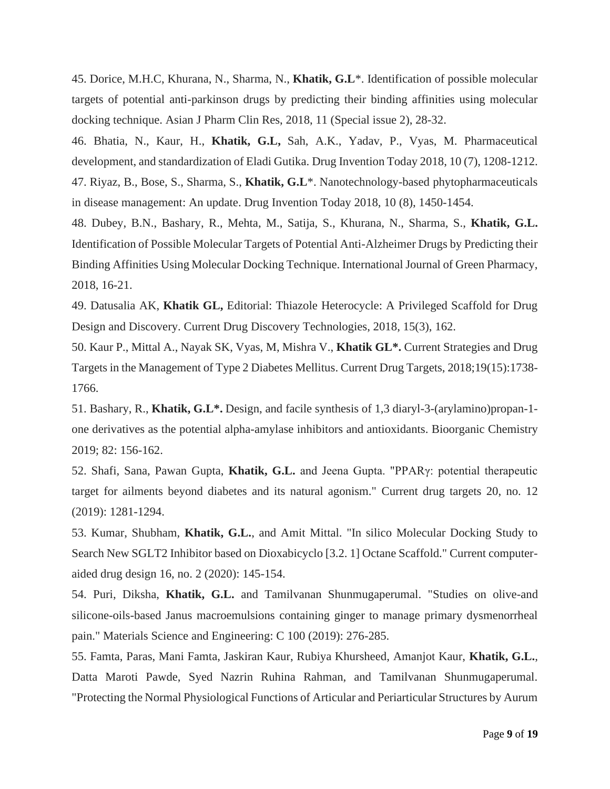45. Dorice, M.H.C, Khurana, N., Sharma, N., **Khatik, G.L**\*. Identification of possible molecular targets of potential anti-parkinson drugs by predicting their binding affinities using molecular docking technique. Asian J Pharm Clin Res, 2018, 11 (Special issue 2), 28-32.

46. Bhatia, N., Kaur, H., **Khatik, G.L,** Sah, A.K., Yadav, P., Vyas, M. Pharmaceutical development, and standardization of Eladi Gutika. Drug Invention Today 2018, 10 (7), 1208-1212. 47. Riyaz, B., Bose, S., Sharma, S., **Khatik, G.L**\*. Nanotechnology-based phytopharmaceuticals in disease management: An update. Drug Invention Today 2018, 10 (8), 1450-1454.

48. Dubey, B.N., Bashary, R., Mehta, M., Satija, S., Khurana, N., Sharma, S., **Khatik, G.L.** Identification of Possible Molecular Targets of Potential Anti-Alzheimer Drugs by Predicting their Binding Affinities Using Molecular Docking Technique. International Journal of Green Pharmacy, 2018, 16-21.

49. Datusalia AK, **Khatik GL,** Editorial: Thiazole Heterocycle: A Privileged Scaffold for Drug Design and Discovery. Current Drug Discovery Technologies, 2018, 15(3), 162.

50. Kaur P., Mittal A., Nayak SK, Vyas, M, Mishra V., **Khatik GL\*.** Current Strategies and Drug Targets in the Management of Type 2 Diabetes Mellitus. Current Drug Targets, 2018;19(15):1738- 1766.

51. Bashary, R., **Khatik, G.L\*.** Design, and facile synthesis of 1,3 diaryl-3-(arylamino)propan-1 one derivatives as the potential alpha-amylase inhibitors and antioxidants. Bioorganic Chemistry 2019; 82: 156-162.

52. Shafi, Sana, Pawan Gupta, **Khatik, G.L.** and Jeena Gupta. "PPARγ: potential therapeutic target for ailments beyond diabetes and its natural agonism." Current drug targets 20, no. 12 (2019): 1281-1294.

53. Kumar, Shubham, **Khatik, G.L.**, and Amit Mittal. "In silico Molecular Docking Study to Search New SGLT2 Inhibitor based on Dioxabicyclo [3.2. 1] Octane Scaffold." Current computeraided drug design 16, no. 2 (2020): 145-154.

54. Puri, Diksha, **Khatik, G.L.** and Tamilvanan Shunmugaperumal. "Studies on olive-and silicone-oils-based Janus macroemulsions containing ginger to manage primary dysmenorrheal pain." Materials Science and Engineering: C 100 (2019): 276-285.

55. Famta, Paras, Mani Famta, Jaskiran Kaur, Rubiya Khursheed, Amanjot Kaur, **Khatik, G.L.**, Datta Maroti Pawde, Syed Nazrin Ruhina Rahman, and Tamilvanan Shunmugaperumal. "Protecting the Normal Physiological Functions of Articular and Periarticular Structures by Aurum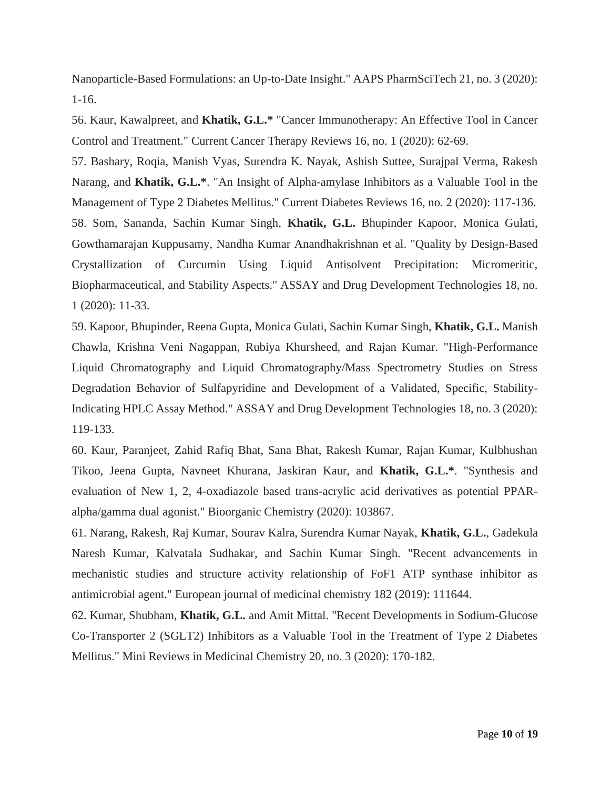Nanoparticle-Based Formulations: an Up-to-Date Insight." AAPS PharmSciTech 21, no. 3 (2020): 1-16.

56. Kaur, Kawalpreet, and **Khatik, G.L.\*** "Cancer Immunotherapy: An Effective Tool in Cancer Control and Treatment." Current Cancer Therapy Reviews 16, no. 1 (2020): 62-69.

57. Bashary, Roqia, Manish Vyas, Surendra K. Nayak, Ashish Suttee, Surajpal Verma, Rakesh Narang, and **Khatik, G.L.\***. "An Insight of Alpha-amylase Inhibitors as a Valuable Tool in the Management of Type 2 Diabetes Mellitus." Current Diabetes Reviews 16, no. 2 (2020): 117-136. 58. Som, Sananda, Sachin Kumar Singh, **Khatik, G.L.** Bhupinder Kapoor, Monica Gulati, Gowthamarajan Kuppusamy, Nandha Kumar Anandhakrishnan et al. "Quality by Design-Based Crystallization of Curcumin Using Liquid Antisolvent Precipitation: Micromeritic, Biopharmaceutical, and Stability Aspects." ASSAY and Drug Development Technologies 18, no. 1 (2020): 11-33.

59. Kapoor, Bhupinder, Reena Gupta, Monica Gulati, Sachin Kumar Singh, **Khatik, G.L.** Manish Chawla, Krishna Veni Nagappan, Rubiya Khursheed, and Rajan Kumar. "High-Performance Liquid Chromatography and Liquid Chromatography/Mass Spectrometry Studies on Stress Degradation Behavior of Sulfapyridine and Development of a Validated, Specific, Stability-Indicating HPLC Assay Method." ASSAY and Drug Development Technologies 18, no. 3 (2020): 119-133.

60. Kaur, Paranjeet, Zahid Rafiq Bhat, Sana Bhat, Rakesh Kumar, Rajan Kumar, Kulbhushan Tikoo, Jeena Gupta, Navneet Khurana, Jaskiran Kaur, and **Khatik, G.L.\***. "Synthesis and evaluation of New 1, 2, 4-oxadiazole based trans-acrylic acid derivatives as potential PPARalpha/gamma dual agonist." Bioorganic Chemistry (2020): 103867.

61. Narang, Rakesh, Raj Kumar, Sourav Kalra, Surendra Kumar Nayak, **Khatik, G.L.**, Gadekula Naresh Kumar, Kalvatala Sudhakar, and Sachin Kumar Singh. "Recent advancements in mechanistic studies and structure activity relationship of FoF1 ATP synthase inhibitor as antimicrobial agent." European journal of medicinal chemistry 182 (2019): 111644.

62. Kumar, Shubham, **Khatik, G.L.** and Amit Mittal. "Recent Developments in Sodium-Glucose Co-Transporter 2 (SGLT2) Inhibitors as a Valuable Tool in the Treatment of Type 2 Diabetes Mellitus." Mini Reviews in Medicinal Chemistry 20, no. 3 (2020): 170-182.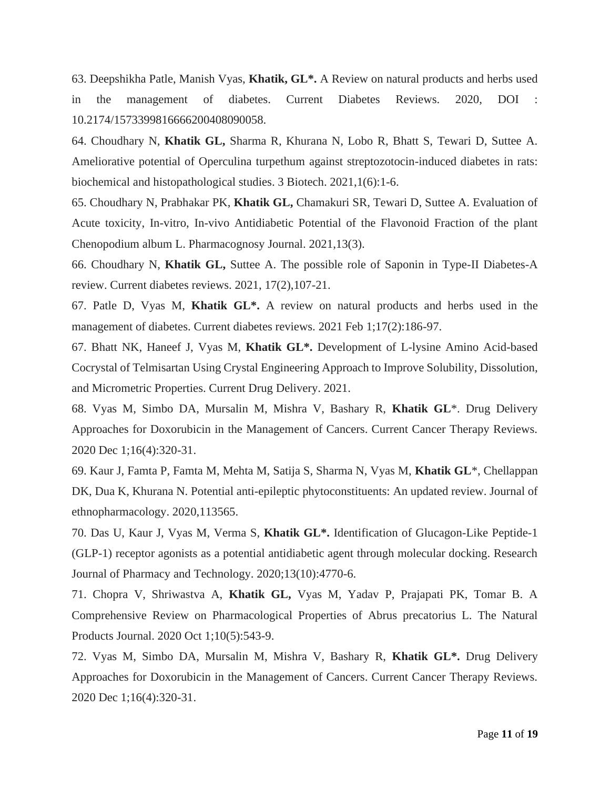63. Deepshikha Patle, Manish Vyas, **Khatik, GL\*.** A Review on natural products and herbs used in the management of diabetes. Current Diabetes Reviews. 2020, DOI : 10.2174/1573399816666200408090058.

64. Choudhary N, **Khatik GL,** Sharma R, Khurana N, Lobo R, Bhatt S, Tewari D, Suttee A. Ameliorative potential of Operculina turpethum against streptozotocin-induced diabetes in rats: biochemical and histopathological studies. 3 Biotech. 2021,1(6):1-6.

65. Choudhary N, Prabhakar PK, **Khatik GL,** Chamakuri SR, Tewari D, Suttee A. Evaluation of Acute toxicity, In-vitro, In-vivo Antidiabetic Potential of the Flavonoid Fraction of the plant Chenopodium album L. Pharmacognosy Journal. 2021,13(3).

66. Choudhary N, **Khatik GL,** Suttee A. The possible role of Saponin in Type-II Diabetes-A review. Current diabetes reviews. 2021, 17(2),107-21.

67. Patle D, Vyas M, **Khatik GL\*.** A review on natural products and herbs used in the management of diabetes. Current diabetes reviews. 2021 Feb 1;17(2):186-97.

67. Bhatt NK, Haneef J, Vyas M, **Khatik GL\*.** Development of L-lysine Amino Acid-based Cocrystal of Telmisartan Using Crystal Engineering Approach to Improve Solubility, Dissolution, and Micrometric Properties. Current Drug Delivery. 2021.

68. Vyas M, Simbo DA, Mursalin M, Mishra V, Bashary R, **Khatik GL**\*. Drug Delivery Approaches for Doxorubicin in the Management of Cancers. Current Cancer Therapy Reviews. 2020 Dec 1;16(4):320-31.

69. Kaur J, Famta P, Famta M, Mehta M, Satija S, Sharma N, Vyas M, **Khatik GL**\*, Chellappan DK, Dua K, Khurana N. Potential anti-epileptic phytoconstituents: An updated review. Journal of ethnopharmacology. 2020,113565.

70. Das U, Kaur J, Vyas M, Verma S, **Khatik GL\*.** Identification of Glucagon-Like Peptide-1 (GLP-1) receptor agonists as a potential antidiabetic agent through molecular docking. Research Journal of Pharmacy and Technology. 2020;13(10):4770-6.

71. Chopra V, Shriwastva A, **Khatik GL,** Vyas M, Yadav P, Prajapati PK, Tomar B. A Comprehensive Review on Pharmacological Properties of Abrus precatorius L. The Natural Products Journal. 2020 Oct 1;10(5):543-9.

72. Vyas M, Simbo DA, Mursalin M, Mishra V, Bashary R, **Khatik GL\*.** Drug Delivery Approaches for Doxorubicin in the Management of Cancers. Current Cancer Therapy Reviews. 2020 Dec 1;16(4):320-31.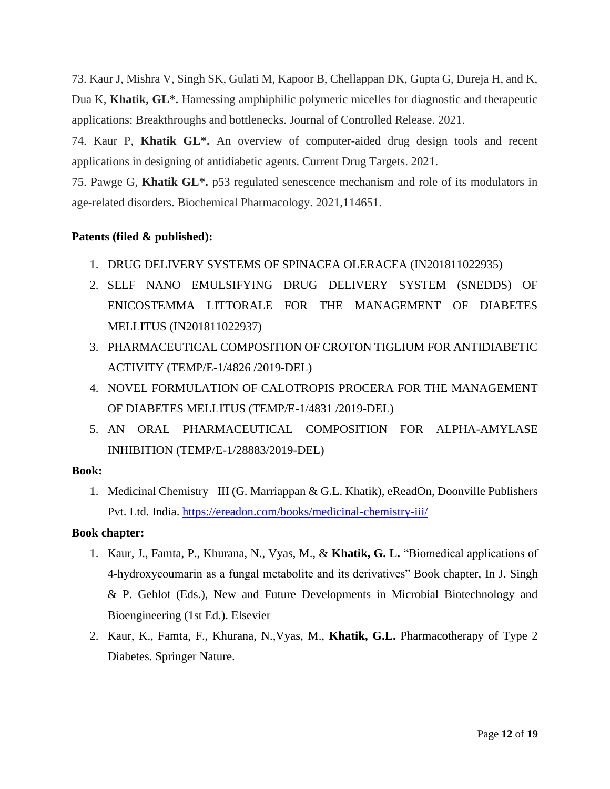73. Kaur J, Mishra V, Singh SK, Gulati M, Kapoor B, Chellappan DK, Gupta G, Dureja H, and K, Dua K, **Khatik, GL\*.** Harnessing amphiphilic polymeric micelles for diagnostic and therapeutic applications: Breakthroughs and bottlenecks. Journal of Controlled Release. 2021.

74. Kaur P, **Khatik GL\*.** An overview of computer-aided drug design tools and recent applications in designing of antidiabetic agents. Current Drug Targets. 2021.

75. Pawge G, **Khatik GL\*.** p53 regulated senescence mechanism and role of its modulators in age-related disorders. Biochemical Pharmacology. 2021,114651.

#### **Patents (filed & published):**

- 1. DRUG DELIVERY SYSTEMS OF SPINACEA OLERACEA (IN201811022935)
- 2. SELF NANO EMULSIFYING DRUG DELIVERY SYSTEM (SNEDDS) OF ENICOSTEMMA LITTORALE FOR THE MANAGEMENT OF DIABETES MELLITUS (IN201811022937)
- 3. PHARMACEUTICAL COMPOSITION OF CROTON TIGLIUM FOR ANTIDIABETIC ACTIVITY (TEMP/E-1/4826 /2019-DEL)
- 4. NOVEL FORMULATION OF CALOTROPIS PROCERA FOR THE MANAGEMENT OF DIABETES MELLITUS (TEMP/E-1/4831 /2019-DEL)
- 5. AN ORAL PHARMACEUTICAL COMPOSITION FOR ALPHA-AMYLASE INHIBITION (TEMP/E-1/28883/2019-DEL)

#### **Book:**

1. Medicinal Chemistry –III (G. Marriappan & G.L. Khatik), eReadOn, Doonville Publishers Pvt. Ltd. India.<https://ereadon.com/books/medicinal-chemistry-iii/>

#### **Book chapter:**

- 1. Kaur, J., Famta, P., Khurana, N., Vyas, M., & **Khatik, G. L.** "Biomedical applications of 4-hydroxycoumarin as a fungal metabolite and its derivatives" Book chapter, In J. Singh & P. Gehlot (Eds.), New and Future Developments in Microbial Biotechnology and Bioengineering (1st Ed.). Elsevier
- 2. Kaur, K., Famta, F., Khurana, N.,Vyas, M., **Khatik, G.L.** Pharmacotherapy of Type 2 Diabetes. Springer Nature.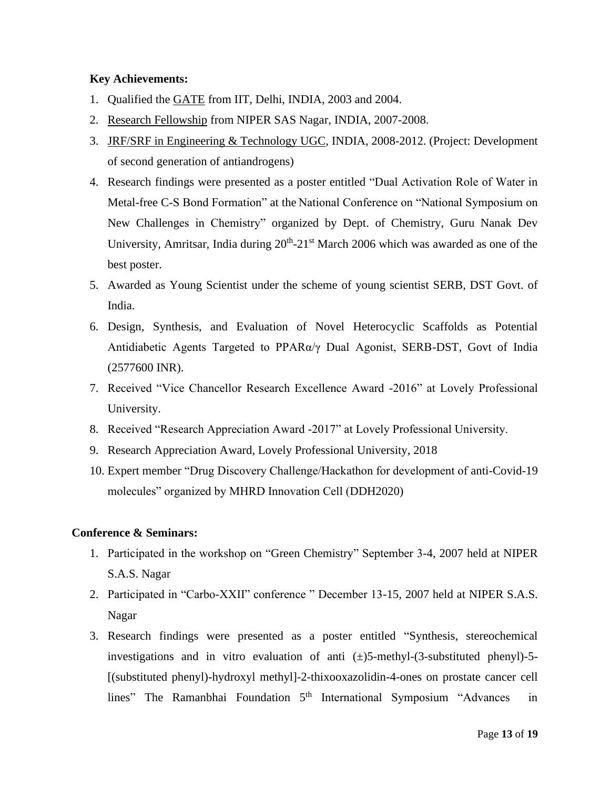#### **Key Achievements:**

- 1. Qualified the GATE from IIT, Delhi, INDIA, 2003 and 2004.
- 2. Research Fellowship from NIPER SAS Nagar, INDIA, 2007-2008.
- 3. JRF/SRF in Engineering & Technology UGC, INDIA, 2008-2012. (Project: Development of second generation of antiandrogens)
- 4. Research findings were presented as a poster entitled "Dual Activation Role of Water in Metal-free C-S Bond Formation" at the National Conference on "National Symposium on New Challenges in Chemistry" organized by Dept. of Chemistry, Guru Nanak Dev University, Amritsar, India during  $20<sup>th</sup> - 21<sup>st</sup>$  March 2006 which was awarded as one of the best poster.
- 5. Awarded as Young Scientist under the scheme of young scientist SERB, DST Govt. of India.
- 6. Design, Synthesis, and Evaluation of Novel Heterocyclic Scaffolds as Potential Antidiabetic Agents Targeted to PPARα/γ Dual Agonist, SERB-DST, Govt of India (2577600 INR).
- 7. Received "Vice Chancellor Research Excellence Award -2016" at Lovely Professional University.
- 8. Received "Research Appreciation Award -2017" at Lovely Professional University.
- 9. Research Appreciation Award, Lovely Professional University, 2018
- 10. Expert member "Drug Discovery Challenge/Hackathon for development of anti-Covid-19 molecules" organized by MHRD Innovation Cell (DDH2020)

#### **Conference & Seminars:**

- 1. Participated in the workshop on "Green Chemistry" September 3-4, 2007 held at NIPER S.A.S. Nagar
- 2. Participated in "Carbo-XXII" conference " December 13-15, 2007 held at NIPER S.A.S. Nagar
- 3. Research findings were presented as a poster entitled "Synthesis, stereochemical investigations and in vitro evaluation of anti  $(\pm)$ 5-methyl- $(3$ -substituted phenyl $)$ -5-[(substituted phenyl)-hydroxyl methyl]-2-thixooxazolidin-4-ones on prostate cancer cell lines" The Ramanbhai Foundation 5<sup>th</sup> International Symposium "Advances in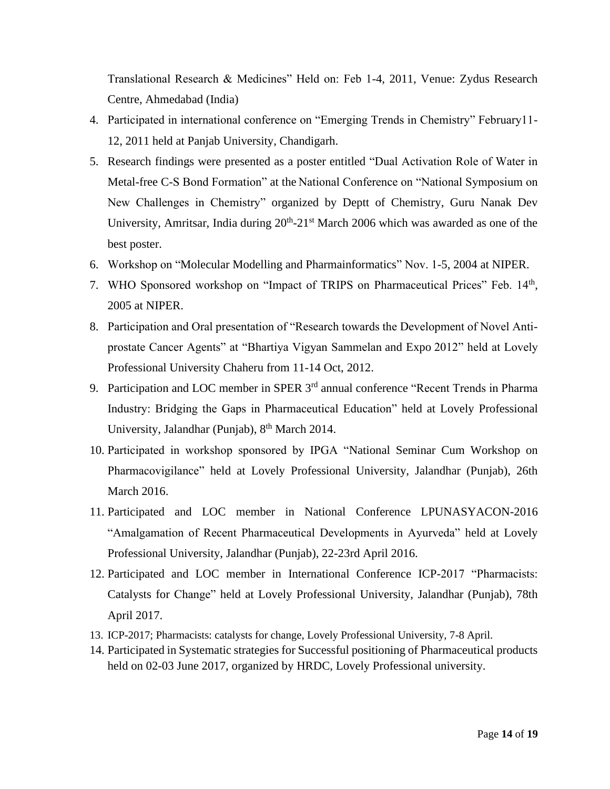Translational Research & Medicines" Held on: Feb 1-4, 2011, Venue: Zydus Research Centre, Ahmedabad (India)

- 4. Participated in international conference on "Emerging Trends in Chemistry" February11- 12, 2011 held at Panjab University, Chandigarh.
- 5. Research findings were presented as a poster entitled "Dual Activation Role of Water in Metal-free C-S Bond Formation" at the National Conference on "National Symposium on New Challenges in Chemistry" organized by Deptt of Chemistry, Guru Nanak Dev University, Amritsar, India during  $20<sup>th</sup> - 21<sup>st</sup>$  March 2006 which was awarded as one of the best poster.
- 6. Workshop on "Molecular Modelling and Pharmainformatics" Nov. 1-5, 2004 at NIPER.
- 7. WHO Sponsored workshop on "Impact of TRIPS on Pharmaceutical Prices" Feb. 14<sup>th</sup>, 2005 at NIPER.
- 8. Participation and Oral presentation of "Research towards the Development of Novel Antiprostate Cancer Agents" at "Bhartiya Vigyan Sammelan and Expo 2012" held at Lovely Professional University Chaheru from 11-14 Oct, 2012.
- 9. Participation and LOC member in SPER 3<sup>rd</sup> annual conference "Recent Trends in Pharma" Industry: Bridging the Gaps in Pharmaceutical Education" held at Lovely Professional University, Jalandhar (Punjab),  $8<sup>th</sup> March 2014$ .
- 10. Participated in workshop sponsored by IPGA "National Seminar Cum Workshop on Pharmacovigilance" held at Lovely Professional University, Jalandhar (Punjab), 26th March 2016.
- 11. Participated and LOC member in National Conference LPUNASYACON-2016 "Amalgamation of Recent Pharmaceutical Developments in Ayurveda" held at Lovely Professional University, Jalandhar (Punjab), 22-23rd April 2016.
- 12. Participated and LOC member in International Conference ICP-2017 "Pharmacists: Catalysts for Change" held at Lovely Professional University, Jalandhar (Punjab), 78th April 2017.
- 13. ICP-2017; Pharmacists: catalysts for change, Lovely Professional University, 7-8 April.
- 14. Participated in Systematic strategies for Successful positioning of Pharmaceutical products held on 02-03 June 2017, organized by HRDC, Lovely Professional university.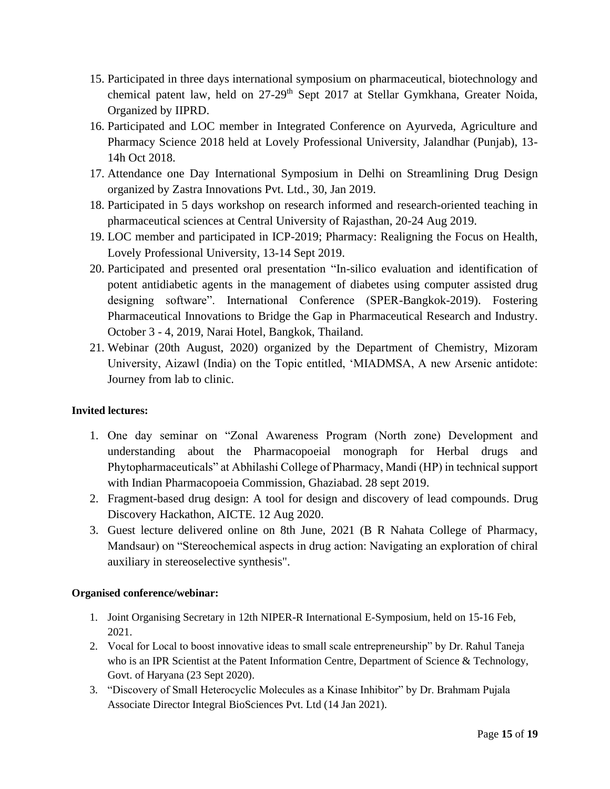- 15. Participated in three days international symposium on pharmaceutical, biotechnology and chemical patent law, held on 27-29<sup>th</sup> Sept 2017 at Stellar Gymkhana, Greater Noida, Organized by IIPRD.
- 16. Participated and LOC member in Integrated Conference on Ayurveda, Agriculture and Pharmacy Science 2018 held at Lovely Professional University, Jalandhar (Punjab), 13- 14h Oct 2018.
- 17. Attendance one Day International Symposium in Delhi on Streamlining Drug Design organized by Zastra Innovations Pvt. Ltd., 30, Jan 2019.
- 18. Participated in 5 days workshop on research informed and research-oriented teaching in pharmaceutical sciences at Central University of Rajasthan, 20-24 Aug 2019.
- 19. LOC member and participated in ICP-2019; Pharmacy: Realigning the Focus on Health, Lovely Professional University, 13-14 Sept 2019.
- 20. Participated and presented oral presentation "In-silico evaluation and identification of potent antidiabetic agents in the management of diabetes using computer assisted drug designing software". International Conference (SPER-Bangkok-2019). Fostering Pharmaceutical Innovations to Bridge the Gap in Pharmaceutical Research and Industry. October 3 - 4, 2019, Narai Hotel, Bangkok, Thailand.
- 21. Webinar (20th August, 2020) organized by the Department of Chemistry, Mizoram University, Aizawl (India) on the Topic entitled, 'MIADMSA, A new Arsenic antidote: Journey from lab to clinic.

#### **Invited lectures:**

- 1. One day seminar on "Zonal Awareness Program (North zone) Development and understanding about the Pharmacopoeial monograph for Herbal drugs and Phytopharmaceuticals" at Abhilashi College of Pharmacy, Mandi (HP) in technical support with Indian Pharmacopoeia Commission, Ghaziabad. 28 sept 2019.
- 2. Fragment-based drug design: A tool for design and discovery of lead compounds. Drug Discovery Hackathon, AICTE. 12 Aug 2020.
- 3. Guest lecture delivered online on 8th June, 2021 (B R Nahata College of Pharmacy, Mandsaur) on "Stereochemical aspects in drug action: Navigating an exploration of chiral auxiliary in stereoselective synthesis".

#### **Organised conference/webinar:**

- 1. Joint Organising Secretary in 12th NIPER-R International E-Symposium, held on 15-16 Feb, 2021.
- 2. Vocal for Local to boost innovative ideas to small scale entrepreneurship" by Dr. Rahul Taneja who is an IPR Scientist at the Patent Information Centre, Department of Science & Technology, Govt. of Haryana (23 Sept 2020).
- 3. "Discovery of Small Heterocyclic Molecules as a Kinase Inhibitor" by Dr. Brahmam Pujala Associate Director Integral BioSciences Pvt. Ltd (14 Jan 2021).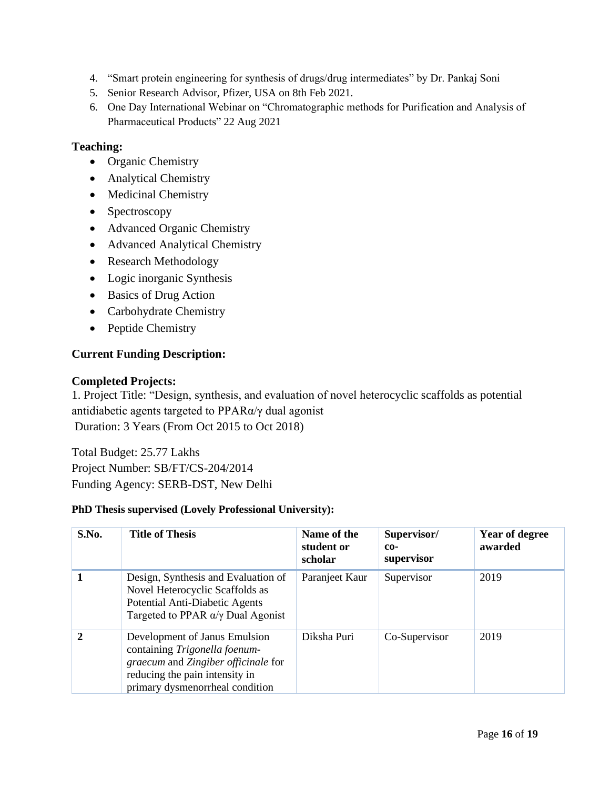- 4. "Smart protein engineering for synthesis of drugs/drug intermediates" by Dr. Pankaj Soni
- 5. Senior Research Advisor, Pfizer, USA on 8th Feb 2021.
- 6. One Day International Webinar on "Chromatographic methods for Purification and Analysis of Pharmaceutical Products" 22 Aug 2021

#### **Teaching:**

- Organic Chemistry
- Analytical Chemistry
- Medicinal Chemistry
- Spectroscopy
- Advanced Organic Chemistry
- Advanced Analytical Chemistry
- Research Methodology
- Logic inorganic Synthesis
- Basics of Drug Action
- Carbohydrate Chemistry
- Peptide Chemistry

#### **Current Funding Description:**

#### **Completed Projects:**

1. Project Title: "Design, synthesis, and evaluation of novel heterocyclic scaffolds as potential antidiabetic agents targeted to PPARα/γ dual agonist Duration: 3 Years (From Oct 2015 to Oct 2018)

Total Budget: 25.77 Lakhs Project Number: SB/FT/CS-204/2014 Funding Agency: SERB-DST, New Delhi

#### **PhD Thesis supervised (Lovely Professional University):**

| S.No.       | <b>Title of Thesis</b>                                                                                                                                                     | Name of the<br>student or<br>scholar | Supervisor/<br>$co-$<br>supervisor | Year of degree<br>awarded |
|-------------|----------------------------------------------------------------------------------------------------------------------------------------------------------------------------|--------------------------------------|------------------------------------|---------------------------|
|             | Design, Synthesis and Evaluation of<br>Novel Heterocyclic Scaffolds as<br>Potential Anti-Diabetic Agents<br>Targeted to PPAR $\alpha/\gamma$ Dual Agonist                  | Paranjeet Kaur                       | Supervisor                         | 2019                      |
| $\mathbf 2$ | Development of Janus Emulsion<br>containing Trigonella foenum-<br>graecum and Zingiber officinale for<br>reducing the pain intensity in<br>primary dysmenorrheal condition | Diksha Puri                          | Co-Supervisor                      | 2019                      |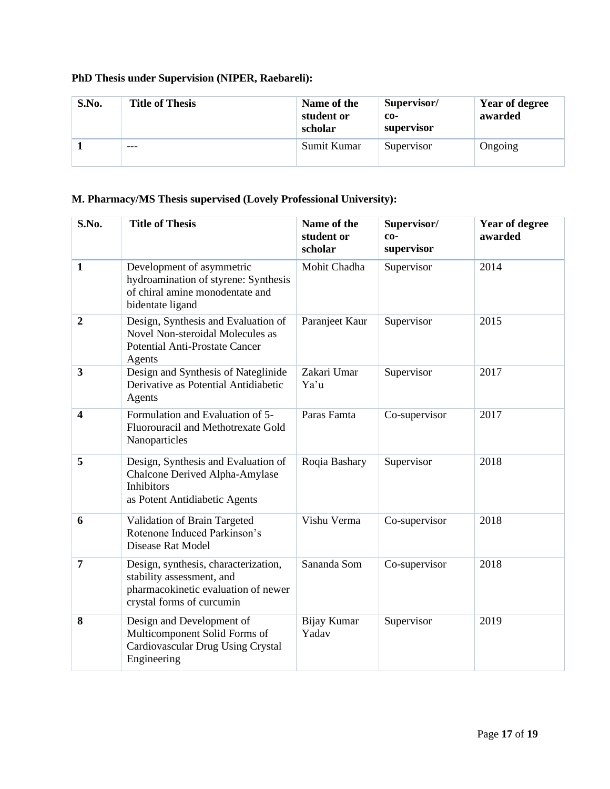## **PhD Thesis under Supervision (NIPER, Raebareli):**

| S.No. | <b>Title of Thesis</b> | Name of the<br>student or<br>scholar | Supervisor/<br>co-<br>supervisor | Year of degree<br>awarded |
|-------|------------------------|--------------------------------------|----------------------------------|---------------------------|
|       | $- - -$                | Sumit Kumar                          | Supervisor                       | Ongoing                   |

## **M. Pharmacy/MS Thesis supervised (Lovely Professional University):**

| S.No.                   | <b>Title of Thesis</b>                                                                                                                | Name of the<br>student or<br>scholar | Supervisor/<br>$co-$<br>supervisor | <b>Year of degree</b><br>awarded |
|-------------------------|---------------------------------------------------------------------------------------------------------------------------------------|--------------------------------------|------------------------------------|----------------------------------|
| $\mathbf{1}$            | Development of asymmetric<br>hydroamination of styrene: Synthesis<br>of chiral amine monodentate and<br>bidentate ligand              | Mohit Chadha                         | Supervisor                         | 2014                             |
| $\overline{2}$          | Design, Synthesis and Evaluation of<br>Novel Non-steroidal Molecules as<br><b>Potential Anti-Prostate Cancer</b><br>Agents            | Paranjeet Kaur                       | Supervisor                         | 2015                             |
| $\overline{\mathbf{3}}$ | Design and Synthesis of Nateglinide<br>Derivative as Potential Antidiabetic<br>Agents                                                 | Zakari Umar<br>Ya'u                  | Supervisor                         | 2017                             |
| $\overline{\mathbf{4}}$ | Formulation and Evaluation of 5-<br>Fluorouracil and Methotrexate Gold<br>Nanoparticles                                               | Paras Famta                          | Co-supervisor                      | 2017                             |
| 5                       | Design, Synthesis and Evaluation of<br>Chalcone Derived Alpha-Amylase<br><b>Inhibitors</b><br>as Potent Antidiabetic Agents           | Roqia Bashary                        | Supervisor                         | 2018                             |
| 6                       | Validation of Brain Targeted<br>Rotenone Induced Parkinson's<br><b>Disease Rat Model</b>                                              | Vishu Verma                          | Co-supervisor                      | 2018                             |
| $\overline{7}$          | Design, synthesis, characterization,<br>stability assessment, and<br>pharmacokinetic evaluation of newer<br>crystal forms of curcumin | Sananda Som                          | Co-supervisor                      | 2018                             |
| 8                       | Design and Development of<br>Multicomponent Solid Forms of<br>Cardiovascular Drug Using Crystal<br>Engineering                        | Bijay Kumar<br>Yadav                 | Supervisor                         | 2019                             |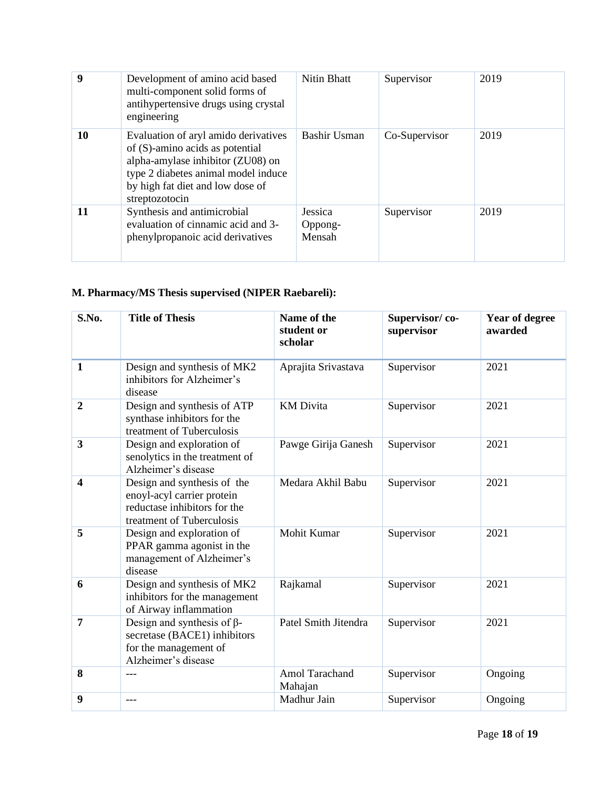| 9  | Development of amino acid based<br>multi-component solid forms of<br>antihypertensive drugs using crystal<br>engineering                                                                                  | Nitin Bhatt                  | Supervisor    | 2019 |
|----|-----------------------------------------------------------------------------------------------------------------------------------------------------------------------------------------------------------|------------------------------|---------------|------|
| 10 | Evaluation of aryl amido derivatives<br>of (S)-amino acids as potential<br>alpha-amylase inhibitor (ZU08) on<br>type 2 diabetes animal model induce<br>by high fat diet and low dose of<br>streptozotocin | <b>Bashir Usman</b>          | Co-Supervisor | 2019 |
| 11 | Synthesis and antimicrobial<br>evaluation of cinnamic acid and 3-<br>phenylpropanoic acid derivatives                                                                                                     | Jessica<br>Oppong-<br>Mensah | Supervisor    | 2019 |

# **M. Pharmacy/MS Thesis supervised (NIPER Raebareli):**

| S.No.                   | <b>Title of Thesis</b>                                                                                                 | Name of the<br>student or<br>scholar | Supervisor/co-<br>supervisor | Year of degree<br>awarded |
|-------------------------|------------------------------------------------------------------------------------------------------------------------|--------------------------------------|------------------------------|---------------------------|
| $\mathbf{1}$            | Design and synthesis of MK2<br>inhibitors for Alzheimer's<br>disease                                                   | Aprajita Srivastava                  | Supervisor                   | 2021                      |
| $\boldsymbol{2}$        | Design and synthesis of ATP<br>synthase inhibitors for the<br>treatment of Tuberculosis                                | <b>KM</b> Divita                     | Supervisor                   | 2021                      |
| $\overline{\mathbf{3}}$ | Design and exploration of<br>senolytics in the treatment of<br>Alzheimer's disease                                     | Pawge Girija Ganesh                  | Supervisor                   | 2021                      |
| 4                       | Design and synthesis of the<br>enoyl-acyl carrier protein<br>reductase inhibitors for the<br>treatment of Tuberculosis | Medara Akhil Babu                    | Supervisor                   | 2021                      |
| 5                       | Design and exploration of<br>PPAR gamma agonist in the<br>management of Alzheimer's<br>disease                         | Mohit Kumar                          | Supervisor                   | 2021                      |
| 6                       | Design and synthesis of MK2<br>inhibitors for the management<br>of Airway inflammation                                 | Rajkamal                             | Supervisor                   | 2021                      |
| $\overline{7}$          | Design and synthesis of $\beta$ -<br>secretase (BACE1) inhibitors<br>for the management of<br>Alzheimer's disease      | Patel Smith Jitendra                 | Supervisor                   | 2021                      |
| 8                       | $---$                                                                                                                  | Amol Tarachand<br>Mahajan            | Supervisor                   | Ongoing                   |
| 9                       | $- - -$                                                                                                                | Madhur Jain                          | Supervisor                   | Ongoing                   |